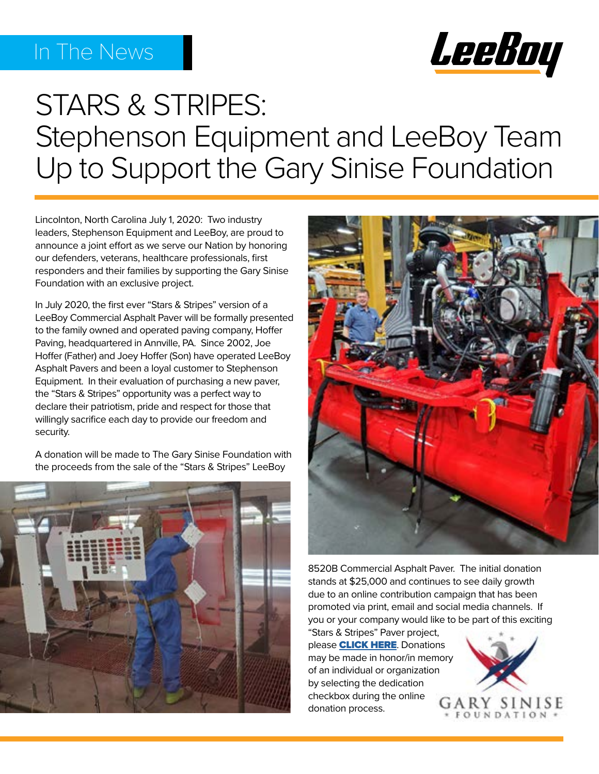## In The News



# STARS & STRIPES: Stephenson Equipment and LeeBoy Team Up to Support the Gary Sinise Foundation

Lincolnton, North Carolina July 1, 2020: Two industry leaders, Stephenson Equipment and LeeBoy, are proud to announce a joint effort as we serve our Nation by honoring our defenders, veterans, healthcare professionals, first responders and their families by supporting the Gary Sinise Foundation with an exclusive project.

In July 2020, the first ever "Stars & Stripes" version of a LeeBoy Commercial Asphalt Paver will be formally presented to the family owned and operated paving company, Hoffer Paving, headquartered in Annville, PA. Since 2002, Joe Hoffer (Father) and Joey Hoffer (Son) have operated LeeBoy Asphalt Pavers and been a loyal customer to Stephenson Equipment. In their evaluation of purchasing a new paver, the "Stars & Stripes" opportunity was a perfect way to declare their patriotism, pride and respect for those that willingly sacrifice each day to provide our freedom and security.

A donation will be made to The Gary Sinise Foundation with the proceeds from the sale of the "Stars & Stripes" LeeBoy





8520B Commercial Asphalt Paver. The initial donation stands at \$25,000 and continues to see daily growth due to an online contribution campaign that has been promoted via print, email and social media channels. If you or your company would like to be part of this exciting

"Stars & Stripes" Paver project, please **[CLICK HERE](https://donate.garysinisefoundation.org/StephensonAndLeeBoy).** Donations may be made in honor/in me[mory](https://donate.garysinisefoundation.org/StephensonAndLeeBoy)  of an individual or organization by selecting the dedication checkbox during the online donation process.